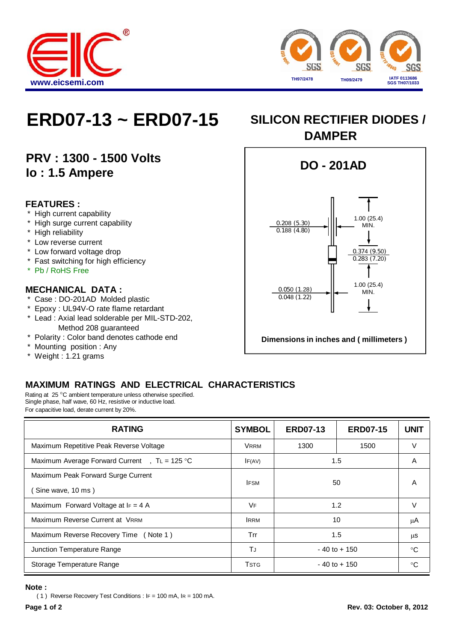



# **ERD07-13 ~ ERD07-15 SILICON RECTIFIER DIODES /**

## **PRV : 1300 - 1500 Volts Io : 1.5 Ampere**

#### **FEATURES :**

- High current capability
- \* High surge current capability
- \* High reliability
- \* Low reverse current
- \* Low forward voltage drop
- \* Fast switching for high efficiency
- \* Pb / RoHS Free

#### **MECHANICAL DATA :**

- \* Case : DO-201AD Molded plastic
- \* Epoxy : UL94V-O rate flame retardant
- \* Lead : Axial lead solderable per MIL-STD-202, Method 208 guaranteed
- \* Polarity : Color band denotes cathode end
- \* Mounting position : Any
- \* Weight : 1.21 grams



### **MAXIMUM RATINGS AND ELECTRICAL CHARACTERISTICS**

Rating at 25 °C ambient temperature unless otherwise specified. Single phase, half wave, 60 Hz, resistive or inductive load. For capacitive load, derate current by 20%.

| <b>RATING</b>                                           | <b>SYMBOL</b> | <b>ERD07-13</b> | <b>ERD07-15</b> | <b>UNIT</b> |
|---------------------------------------------------------|---------------|-----------------|-----------------|-------------|
| Maximum Repetitive Peak Reverse Voltage                 | <b>VRRM</b>   | 1300            | 1500            |             |
| Maximum Average Forward Current, $T = 125$ °C           | IF(AV)        | 1.5             |                 | A           |
| Maximum Peak Forward Surge Current<br>Sine wave, 10 ms) | <b>IFSM</b>   | 50              |                 | A           |
| Maximum Forward Voltage at $I_F = 4$ A                  | VF            | 1.2             |                 |             |
| Maximum Reverse Current at VRRM                         | <b>IRRM</b>   | 10              |                 | μA          |
| Maximum Reverse Recovery Time (Note 1)                  | Trr           | 1.5             |                 | μS          |
| Junction Temperature Range                              | TJ            | $-40$ to $+150$ |                 | °C          |
| Storage Temperature Range                               | <b>T</b> stG  | $-40$ to $+150$ |                 | ം           |

#### **Note :**

( 1 ) Reverse Recovery Test Conditions : IF = 100 mA, IR = 100 mA.